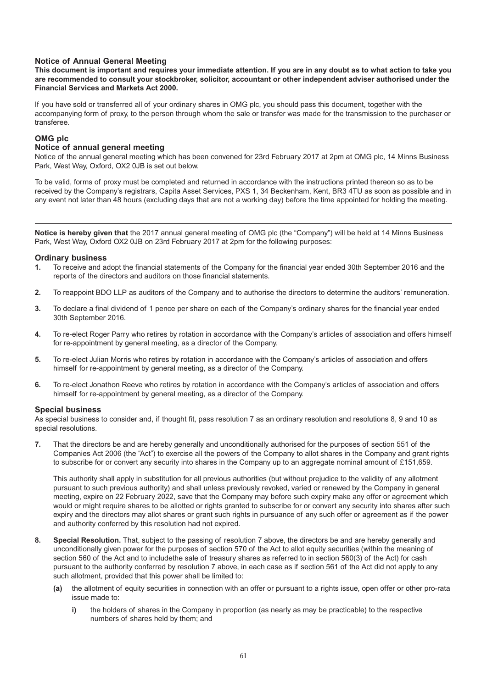# **Notice of Annual General Meeting**

**This document is important and requires your immediate attention. If you are in any doubt as to what action to take you are recommended to consult your stockbroker, solicitor, accountant or other independent adviser authorised under the Financial Services and Markets Act 2000.**

If you have sold or transferred all of your ordinary shares in OMG plc, you should pass this document, together with the accompanying form of proxy, to the person through whom the sale or transfer was made for the transmission to the purchaser or transferee.

## **OMG plc**

## **Notice of annual general meeting**

Notice of the annual general meeting which has been convened for 23rd February 2017 at 2pm at OMG plc, 14 Minns Business Park, West Way, Oxford, OX2 0JB is set out below.

To be valid, forms of proxy must be completed and returned in accordance with the instructions printed thereon so as to be received by the Company's registrars, Capita Asset Services, PXS 1, 34 Beckenham, Kent, BR3 4TU as soon as possible and in any event not later than 48 hours (excluding days that are not a working day) before the time appointed for holding the meeting.

**Notice is hereby given that** the 2017 annual general meeting of OMG plc (the "Company") will be held at 14 Minns Business Park, West Way, Oxford OX2 0JB on 23rd February 2017 at 2pm for the following purposes:

#### **Ordinary business**

- **1.** To receive and adopt the financial statements of the Company for the financial year ended 30th September 2016 and the reports of the directors and auditors on those financial statements.
- **2.** To reappoint BDO LLP as auditors of the Company and to authorise the directors to determine the auditors' remuneration.
- **3.** To declare a final dividend of 1 pence per share on each of the Company's ordinary shares for the financial year ended 30th September 2016.
- **4.** To re-elect Roger Parry who retires by rotation in accordance with the Company's articles of association and offers himself for re-appointment by general meeting, as a director of the Company.
- **5.** To re-elect Julian Morris who retires by rotation in accordance with the Company's articles of association and offers himself for re-appointment by general meeting, as a director of the Company.
- **6.** To re-elect Jonathon Reeve who retires by rotation in accordance with the Company's articles of association and offers himself for re-appointment by general meeting, as a director of the Company.

### **Special business**

As special business to consider and, if thought fit, pass resolution 7 as an ordinary resolution and resolutions 8, 9 and 10 as special resolutions.

**7.** That the directors be and are hereby generally and unconditionally authorised for the purposes of section 551 of the Companies Act 2006 (the "Act") to exercise all the powers of the Company to allot shares in the Company and grant rights to subscribe for or convert any security into shares in the Company up to an aggregate nominal amount of £151,659.

This authority shall apply in substitution for all previous authorities (but without prejudice to the validity of any allotment pursuant to such previous authority) and shall unless previously revoked, varied or renewed by the Company in general meeting, expire on 22 February 2022, save that the Company may before such expiry make any offer or agreement which would or might require shares to be allotted or rights granted to subscribe for or convert any security into shares after such expiry and the directors may allot shares or grant such rights in pursuance of any such offer or agreement as if the power and authority conferred by this resolution had not expired.

- **8. Special Resolution.** That, subject to the passing of resolution 7 above, the directors be and are hereby generally and unconditionally given power for the purposes of section 570 of the Act to allot equity securities (within the meaning of section 560 of the Act and to includethe sale of treasury shares as referred to in section 560(3) of the Act) for cash pursuant to the authority conferred by resolution 7 above, in each case as if section 561 of the Act did not apply to any such allotment, provided that this power shall be limited to:
	- **(a)** the allotment of equity securities in connection with an offer or pursuant to a rights issue, open offer or other pro-rata issue made to:
		- **i)** the holders of shares in the Company in proportion (as nearly as may be practicable) to the respective numbers of shares held by them; and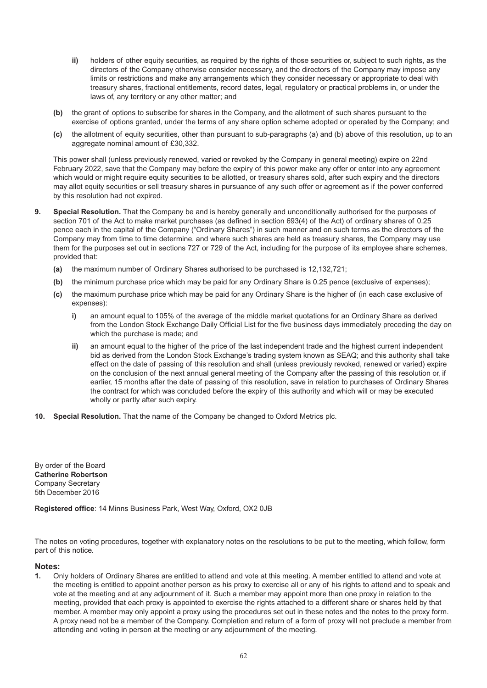- **ii)** holders of other equity securities, as required by the rights of those securities or, subject to such rights, as the directors of the Company otherwise consider necessary, and the directors of the Company may impose any limits or restrictions and make any arrangements which they consider necessary or appropriate to deal with treasury shares, fractional entitlements, record dates, legal, regulatory or practical problems in, or under the laws of, any territory or any other matter; and
- **(b)** the grant of options to subscribe for shares in the Company, and the allotment of such shares pursuant to the exercise of options granted, under the terms of any share option scheme adopted or operated by the Company; and
- **(c)** the allotment of equity securities, other than pursuant to sub-paragraphs (a) and (b) above of this resolution, up to an aggregate nominal amount of £30,332.

This power shall (unless previously renewed, varied or revoked by the Company in general meeting) expire on 22nd February 2022, save that the Company may before the expiry of this power make any offer or enter into any agreement which would or might require equity securities to be allotted, or treasury shares sold, after such expiry and the directors may allot equity securities or sell treasury shares in pursuance of any such offer or agreement as if the power conferred by this resolution had not expired.

- **9. Special Resolution.** That the Company be and is hereby generally and unconditionally authorised for the purposes of section 701 of the Act to make market purchases (as defined in section 693(4) of the Act) of ordinary shares of 0.25 pence each in the capital of the Company ("Ordinary Shares") in such manner and on such terms as the directors of the Company may from time to time determine, and where such shares are held as treasury shares, the Company may use them for the purposes set out in sections 727 or 729 of the Act, including for the purpose of its employee share schemes, provided that:
	- **(a)** the maximum number of Ordinary Shares authorised to be purchased is 12,132,721;
	- **(b)** the minimum purchase price which may be paid for any Ordinary Share is 0.25 pence (exclusive of expenses);
	- **(c)** the maximum purchase price which may be paid for any Ordinary Share is the higher of (in each case exclusive of expenses):
		- **i)** an amount equal to 105% of the average of the middle market quotations for an Ordinary Share as derived from the London Stock Exchange Daily Official List for the five business days immediately preceding the day on which the purchase is made; and
		- **ii)** an amount equal to the higher of the price of the last independent trade and the highest current independent bid as derived from the London Stock Exchange's trading system known as SEAQ; and this authority shall take effect on the date of passing of this resolution and shall (unless previously revoked, renewed or varied) expire on the conclusion of the next annual general meeting of the Company after the passing of this resolution or, if earlier, 15 months after the date of passing of this resolution, save in relation to purchases of Ordinary Shares the contract for which was concluded before the expiry of this authority and which will or may be executed wholly or partly after such expiry.
- **10. Special Resolution.** That the name of the Company be changed to Oxford Metrics plc.

By order of the Board **Catherine Robertson** Company Secretary 5th December 2016

**Registered office**: 14 Minns Business Park, West Way, Oxford, OX2 0JB

The notes on voting procedures, together with explanatory notes on the resolutions to be put to the meeting, which follow, form part of this notice.

### **Notes:**

**1.** Only holders of Ordinary Shares are entitled to attend and vote at this meeting. A member entitled to attend and vote at the meeting is entitled to appoint another person as his proxy to exercise all or any of his rights to attend and to speak and vote at the meeting and at any adjournment of it. Such a member may appoint more than one proxy in relation to the meeting, provided that each proxy is appointed to exercise the rights attached to a different share or shares held by that member. A member may only appoint a proxy using the procedures set out in these notes and the notes to the proxy form. A proxy need not be a member of the Company. Completion and return of a form of proxy will not preclude a member from attending and voting in person at the meeting or any adjournment of the meeting.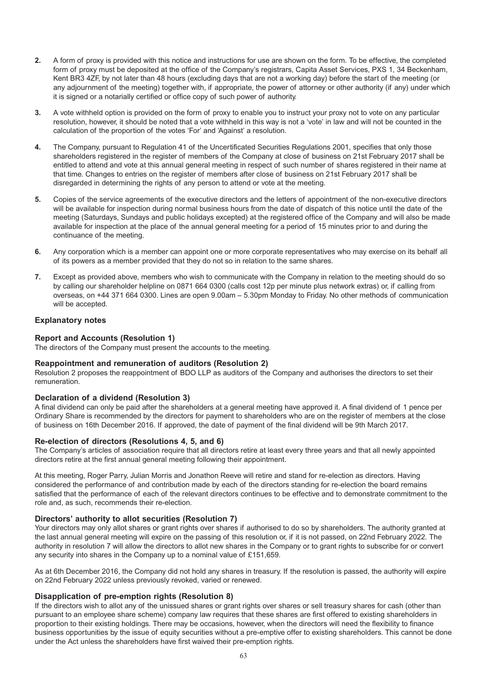- **2.** A form of proxy is provided with this notice and instructions for use are shown on the form. To be effective, the completed form of proxy must be deposited at the office of the Company's registrars, Capita Asset Services, PXS 1, 34 Beckenham, Kent BR3 4ZF, by not later than 48 hours (excluding days that are not a working day) before the start of the meeting (or any adjournment of the meeting) together with, if appropriate, the power of attorney or other authority (if any) under which it is signed or a notarially certified or office copy of such power of authority.
- **3.** A vote withheld option is provided on the form of proxy to enable you to instruct your proxy not to vote on any particular resolution, however, it should be noted that a vote withheld in this way is not a 'vote' in law and will not be counted in the calculation of the proportion of the votes 'For' and 'Against' a resolution.
- **4.** The Company, pursuant to Regulation 41 of the Uncertificated Securities Regulations 2001, specifies that only those shareholders registered in the register of members of the Company at close of business on 21st February 2017 shall be entitled to attend and vote at this annual general meeting in respect of such number of shares registered in their name at that time. Changes to entries on the register of members after close of business on 21st February 2017 shall be disregarded in determining the rights of any person to attend or vote at the meeting.
- **5.** Copies of the service agreements of the executive directors and the letters of appointment of the non-executive directors will be available for inspection during normal business hours from the date of dispatch of this notice until the date of the meeting (Saturdays, Sundays and public holidays excepted) at the registered office of the Company and will also be made available for inspection at the place of the annual general meeting for a period of 15 minutes prior to and during the continuance of the meeting.
- **6.** Any corporation which is a member can appoint one or more corporate representatives who may exercise on its behalf all of its powers as a member provided that they do not so in relation to the same shares.
- **7.** Except as provided above, members who wish to communicate with the Company in relation to the meeting should do so by calling our shareholder helpline on 0871 664 0300 (calls cost 12p per minute plus network extras) or, if calling from overseas, on +44 371 664 0300. Lines are open 9.00am – 5.30pm Monday to Friday. No other methods of communication will be accepted.

### **Explanatory notes**

# **Report and Accounts (Resolution 1)**

The directors of the Company must present the accounts to the meeting.

### **Reappointment and remuneration of auditors (Resolution 2)**

Resolution 2 proposes the reappointment of BDO LLP as auditors of the Company and authorises the directors to set their remuneration.

### **Declaration of a dividend (Resolution 3)**

A final dividend can only be paid after the shareholders at a general meeting have approved it. A final dividend of 1 pence per Ordinary Share is recommended by the directors for payment to shareholders who are on the register of members at the close of business on 16th December 2016. If approved, the date of payment of the final dividend will be 9th March 2017.

### **Re-election of directors (Resolutions 4, 5, and 6)**

The Company's articles of association require that all directors retire at least every three years and that all newly appointed directors retire at the first annual general meeting following their appointment.

At this meeting, Roger Parry, Julian Morris and Jonathon Reeve will retire and stand for re-election as directors. Having considered the performance of and contribution made by each of the directors standing for re-election the board remains satisfied that the performance of each of the relevant directors continues to be effective and to demonstrate commitment to the role and, as such, recommends their re-election.

### **Directors' authority to allot securities (Resolution 7)**

Your directors may only allot shares or grant rights over shares if authorised to do so by shareholders. The authority granted at the last annual general meeting will expire on the passing of this resolution or, if it is not passed, on 22nd February 2022. The authority in resolution 7 will allow the directors to allot new shares in the Company or to grant rights to subscribe for or convert any security into shares in the Company up to a nominal value of £151,659.

As at 6th December 2016, the Company did not hold any shares in treasury. If the resolution is passed, the authority will expire on 22nd February 2022 unless previously revoked, varied or renewed.

### **Disapplication of pre-emption rights (Resolution 8)**

If the directors wish to allot any of the unissued shares or grant rights over shares or sell treasury shares for cash (other than pursuant to an employee share scheme) company law requires that these shares are first offered to existing shareholders in proportion to their existing holdings. There may be occasions, however, when the directors will need the flexibility to finance business opportunities by the issue of equity securities without a pre-emptive offer to existing shareholders. This cannot be done under the Act unless the shareholders have first waived their pre-emption rights.